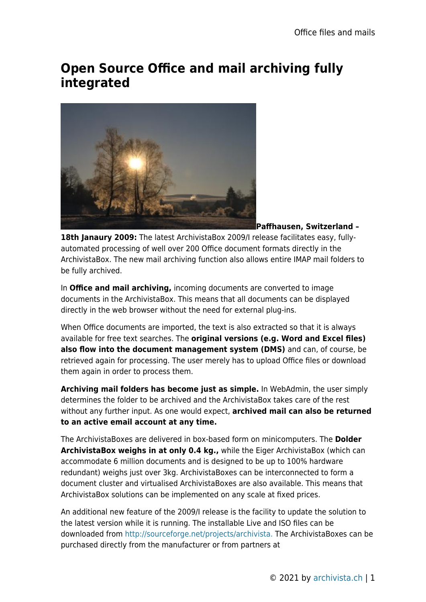## **Open Source Office and mail archiving fully integrated**



**Paffhausen, Switzerland –**

**18th Janaury 2009:** The latest ArchivistaBox 2009/I release facilitates easy, fullyautomated processing of well over 200 Office document formats directly in the ArchivistaBox. The new mail archiving function also allows entire IMAP mail folders to be fully archived.

In **Office and mail archiving,** incoming documents are converted to image documents in the ArchivistaBox. This means that all documents can be displayed directly in the web browser without the need for external plug-ins.

When Office documents are imported, the text is also extracted so that it is always available for free text searches. The **original versions (e.g. Word and Excel files) also flow into the document management system (DMS)** and can, of course, be retrieved again for processing. The user merely has to upload Office files or download them again in order to process them.

**Archiving mail folders has become just as simple.** In WebAdmin, the user simply determines the folder to be archived and the ArchivistaBox takes care of the rest without any further input. As one would expect, **archived mail can also be returned to an active email account at any time.**

The ArchivistaBoxes are delivered in box-based form on minicomputers. The **Dolder ArchivistaBox weighs in at only 0.4 kg.,** while the Eiger ArchivistaBox (which can accommodate 6 million documents and is designed to be up to 100% hardware redundant) weighs just over 3kg. ArchivistaBoxes can be interconnected to form a document cluster and virtualised ArchivistaBoxes are also available. This means that ArchivistaBox solutions can be implemented on any scale at fixed prices.

An additional new feature of the 2009/I release is the facility to update the solution to the latest version while it is running. The installable Live and ISO files can be downloaded from [http://sourceforge.net/projects/archivista.](http://sourceforge.net/projects/archivista) The ArchivistaBoxes can be purchased directly from the manufacturer or from partners at